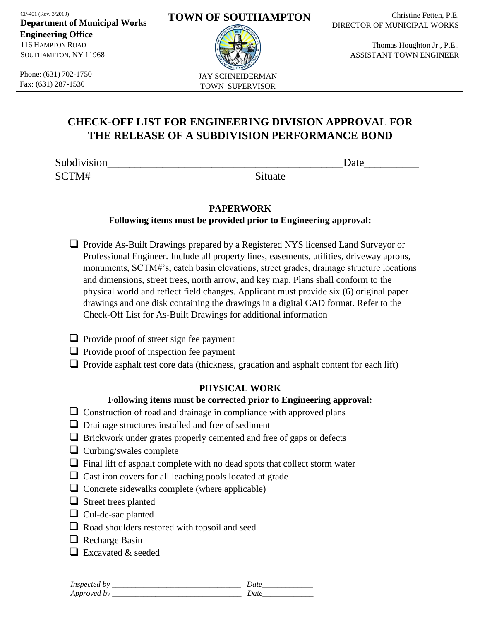CP-401 (Rev. 3/2019)

**Department of Municipal Works Engineering Office**  116 HAMPTON ROAD SOUTHAMPTON, NY 11968

Phone: (631) 702-1750 Fax: (631) 287-1530

#### **TOWN OF SOUTHAMPTON**



Christine Fetten, P.E. DIRECTOR OF MUNICIPAL WORKS

> Thomas Houghton Jr., P.E.. ASSISTANT TOWN ENGINEER

# **CHECK-OFF LIST FOR ENGINEERING DIVISION APPROVAL FOR THE RELEASE OF A SUBDIVISION PERFORMANCE BOND**

| Subdivision | <b>Date</b> |
|-------------|-------------|
| CCTMAH      | Situate     |

# **PAPERWORK**

**Following items must be provided prior to Engineering approval:**

- Provide As-Built Drawings prepared by a Registered NYS licensed Land Surveyor or Professional Engineer. Include all property lines, easements, utilities, driveway aprons, monuments, SCTM#'s, catch basin elevations, street grades, drainage structure locations and dimensions, street trees, north arrow, and key map. Plans shall conform to the physical world and reflect field changes. Applicant must provide six (6) original paper drawings and one disk containing the drawings in a digital CAD format. Refer to the Check-Off List for As-Built Drawings for additional information
- $\Box$  Provide proof of street sign fee payment
- $\Box$  Provide proof of inspection fee payment
- $\Box$  Provide asphalt test core data (thickness, gradation and asphalt content for each lift)

# **PHYSICAL WORK**

### **Following items must be corrected prior to Engineering approval:**

- $\Box$  Construction of road and drainage in compliance with approved plans
- Drainage structures installed and free of sediment
- $\Box$  Brickwork under grates properly cemented and free of gaps or defects
- $\Box$  Curbing/swales complete
- $\Box$  Final lift of asphalt complete with no dead spots that collect storm water
- $\Box$  Cast iron covers for all leaching pools located at grade
- $\Box$  Concrete sidewalks complete (where applicable)
- □ Street trees planted
- □ Cul-de-sac planted
- Road shoulders restored with topsoil and seed
- Recharge Basin
- $\Box$  Excavated & seeded

| <b>Inspected</b>    |   |  |
|---------------------|---|--|
| Appro<br>. <i>.</i> | _ |  |